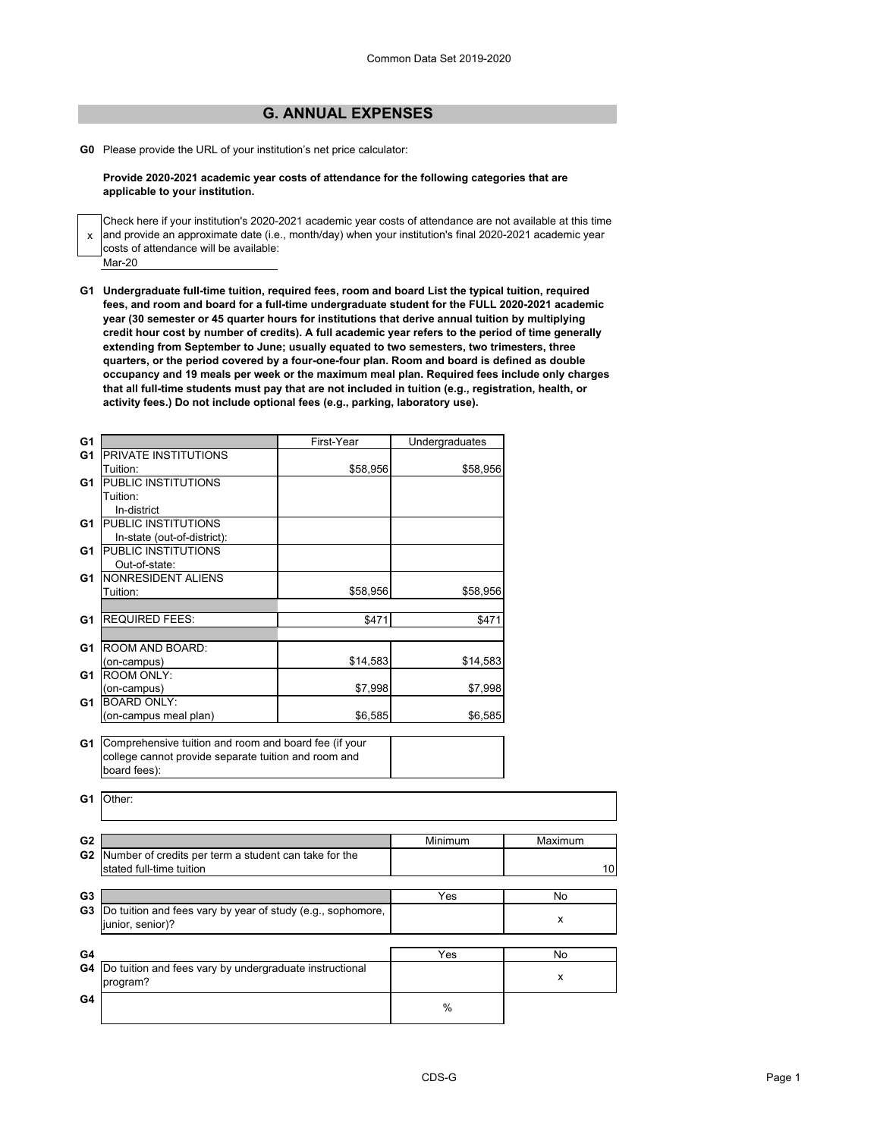## **G. ANNUAL EXPENSES**

**G0** Please provide the URL of your institution's net price calculator:

**Provide 2020-2021 academic year costs of attendance for the following categories that are applicable to your institution.**

x Mar-20 Check here if your institution's 2020-2021 academic year costs of attendance are not available at this time and provide an approximate date (i.e., month/day) when your institution's final 2020-2021 academic year costs of attendance will be available:

**G1 Undergraduate full-time tuition, required fees, room and board List the typical tuition, required fees, and room and board for a full-time undergraduate student for the FULL 2020-2021 academic year (30 semester or 45 quarter hours for institutions that derive annual tuition by multiplying credit hour cost by number of credits). A full academic year refers to the period of time generally extending from September to June; usually equated to two semesters, two trimesters, three quarters, or the period covered by a four-one-four plan. Room and board is defined as double occupancy and 19 meals per week or the maximum meal plan. Required fees include only charges that all full-time students must pay that are not included in tuition (e.g., registration, health, or activity fees.) Do not include optional fees (e.g., parking, laboratory use).**

| G <sub>1</sub> |                                                             | First-Year | Undergraduates |           |
|----------------|-------------------------------------------------------------|------------|----------------|-----------|
| G1             | <b>PRIVATE INSTITUTIONS</b>                                 |            |                |           |
|                | Tuition:                                                    | \$58,956   | \$58,956       |           |
| G <sub>1</sub> | <b>PUBLIC INSTITUTIONS</b>                                  |            |                |           |
|                | Tuition:                                                    |            |                |           |
|                | In-district                                                 |            |                |           |
| G1             | <b>PUBLIC INSTITUTIONS</b>                                  |            |                |           |
|                | In-state (out-of-district):                                 |            |                |           |
| G1             | <b>PUBLIC INSTITUTIONS</b>                                  |            |                |           |
|                | Out-of-state:                                               |            |                |           |
| G1             | NONRESIDENT ALIENS                                          |            |                |           |
|                | Tuition:                                                    | \$58,956   | \$58,956       |           |
|                |                                                             |            |                |           |
| G1             | <b>REQUIRED FEES:</b>                                       | \$471      | \$471          |           |
|                |                                                             |            |                |           |
| G1             | <b>ROOM AND BOARD:</b>                                      |            |                |           |
|                | (on-campus)                                                 | \$14,583   | \$14,583       |           |
| G1             | ROOM ONLY:                                                  |            |                |           |
|                | (on-campus)                                                 | \$7,998    | \$7,998        |           |
| G1             | <b>BOARD ONLY:</b>                                          |            |                |           |
|                | (on-campus meal plan)                                       | \$6,585    | \$6,585        |           |
|                |                                                             |            |                |           |
| G1             | Comprehensive tuition and room and board fee (if your       |            |                |           |
|                | college cannot provide separate tuition and room and        |            |                |           |
|                | board fees):                                                |            |                |           |
|                |                                                             |            |                |           |
| G1             | Other:                                                      |            |                |           |
|                |                                                             |            |                |           |
|                |                                                             |            |                |           |
| G <sub>2</sub> |                                                             |            | Minimum        | Maximum   |
| G <sub>2</sub> | Number of credits per term a student can take for the       |            |                |           |
|                | stated full-time tuition                                    |            |                |           |
|                |                                                             |            |                |           |
| G <sub>3</sub> |                                                             |            | Yes            | <b>No</b> |
| G <sub>3</sub> | Do tuition and fees vary by year of study (e.g., sophomore, |            |                | x         |
|                | junior, senior)?                                            |            |                |           |
|                |                                                             |            |                |           |
| G4             |                                                             |            | Yes            | No        |
| G4             | Do tuition and fees vary by undergraduate instructional     |            |                |           |
|                | program?                                                    |            |                | x         |
| G4             |                                                             |            |                |           |
|                |                                                             |            |                |           |

%

10